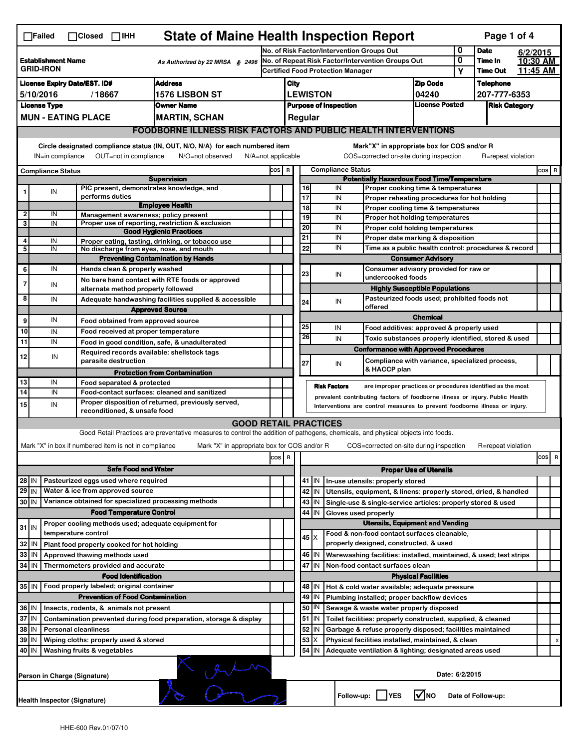|                                                                                  | <b>State of Maine Health Inspection Report</b><br>Page 1 of 4<br>$\Box$ Failed<br>$\Box$ Closed $\Box$ IHH                                                                                                                                                                            |  |                                                       |                                                                                                                                   |                                                       |                                   |                 |                     |                                                        |                                                                                           |                               |                  |                    |                 |   |  |
|----------------------------------------------------------------------------------|---------------------------------------------------------------------------------------------------------------------------------------------------------------------------------------------------------------------------------------------------------------------------------------|--|-------------------------------------------------------|-----------------------------------------------------------------------------------------------------------------------------------|-------------------------------------------------------|-----------------------------------|-----------------|---------------------|--------------------------------------------------------|-------------------------------------------------------------------------------------------|-------------------------------|------------------|--------------------|-----------------|---|--|
|                                                                                  |                                                                                                                                                                                                                                                                                       |  |                                                       | No. of Risk Factor/Intervention Groups Out                                                                                        |                                                       |                                   |                 |                     | 0                                                      | <b>Date</b>                                                                               |                               | 6/2/2015         |                    |                 |   |  |
| <b>Establishment Name</b><br>As Authorized by 22 MRSA § 2496<br><b>GRID-IRON</b> |                                                                                                                                                                                                                                                                                       |  |                                                       | No. of Repeat Risk Factor/Intervention Groups Out<br><b>Certified Food Protection Manager</b>                                     |                                                       |                                   |                 |                     | 0                                                      | Time In                                                                                   |                               | 10:30 AM         |                    |                 |   |  |
|                                                                                  |                                                                                                                                                                                                                                                                                       |  |                                                       |                                                                                                                                   |                                                       |                                   |                 |                     |                                                        |                                                                                           | Υ                             | <b>Time Out</b>  |                    | <u>11:45 AM</u> |   |  |
| <b>License Expiry Date/EST. ID#</b><br><b>Address</b>                            |                                                                                                                                                                                                                                                                                       |  |                                                       |                                                                                                                                   | City                                                  |                                   |                 |                     |                                                        | <b>Zip Code</b>                                                                           |                               | <b>Telephone</b> |                    |                 |   |  |
| 5/10/2016<br>/18667<br><b>1576 LISBON ST</b>                                     |                                                                                                                                                                                                                                                                                       |  |                                                       |                                                                                                                                   |                                                       |                                   | <b>LEWISTON</b> |                     |                                                        | 04240                                                                                     |                               | 207-777-6353     |                    |                 |   |  |
| <b>License Type</b><br><b>Owner Name</b><br><b>MUN - EATING PLACE</b>            |                                                                                                                                                                                                                                                                                       |  |                                                       |                                                                                                                                   | <b>License Posted</b><br><b>Purpose of Inspection</b> |                                   |                 |                     |                                                        |                                                                                           | <b>Risk Category</b>          |                  |                    |                 |   |  |
|                                                                                  |                                                                                                                                                                                                                                                                                       |  |                                                       | <b>MARTIN, SCHAN</b>                                                                                                              |                                                       |                                   |                 | Regular             |                                                        |                                                                                           |                               |                  |                    |                 |   |  |
|                                                                                  |                                                                                                                                                                                                                                                                                       |  |                                                       | <b>FOODBORNE ILLNESS RISK FACTORS AND PUBLIC HEALTH INTERVENTIONS</b>                                                             |                                                       |                                   |                 |                     |                                                        |                                                                                           |                               |                  |                    |                 |   |  |
|                                                                                  | Circle designated compliance status (IN, OUT, N/O, N/A) for each numbered item<br>Mark"X" in appropriate box for COS and/or R<br>OUT=not in compliance<br>COS=corrected on-site during inspection<br>IN=in compliance<br>N/O=not observed<br>N/A=not applicable<br>R=repeat violation |  |                                                       |                                                                                                                                   |                                                       |                                   |                 |                     |                                                        |                                                                                           |                               |                  |                    |                 |   |  |
|                                                                                  | <b>Compliance Status</b>                                                                                                                                                                                                                                                              |  |                                                       |                                                                                                                                   |                                                       | <b>Compliance Status</b><br>COS R |                 |                     |                                                        |                                                                                           |                               | $cos$ R          |                    |                 |   |  |
|                                                                                  |                                                                                                                                                                                                                                                                                       |  |                                                       | <b>Supervision</b>                                                                                                                |                                                       |                                   |                 |                     |                                                        | <b>Potentially Hazardous Food Time/Temperature</b>                                        |                               |                  |                    |                 |   |  |
|                                                                                  | IN                                                                                                                                                                                                                                                                                    |  | PIC present, demonstrates knowledge, and              |                                                                                                                                   |                                                       |                                   |                 | 16                  | IN                                                     | Proper cooking time & temperatures                                                        |                               |                  |                    |                 |   |  |
|                                                                                  |                                                                                                                                                                                                                                                                                       |  | performs duties                                       | <b>Employee Health</b>                                                                                                            |                                                       |                                   |                 | 17                  | IN                                                     | Proper reheating procedures for hot holding                                               |                               |                  |                    |                 |   |  |
| $\overline{\mathbf{c}}$                                                          | IN                                                                                                                                                                                                                                                                                    |  | Management awareness; policy present                  |                                                                                                                                   |                                                       |                                   |                 | $\overline{18}$     | IN<br>IN                                               | Proper cooling time & temperatures                                                        |                               |                  |                    |                 |   |  |
| 3                                                                                | IN                                                                                                                                                                                                                                                                                    |  |                                                       | Proper use of reporting, restriction & exclusion                                                                                  |                                                       |                                   |                 | 19<br>20            | IN                                                     | Proper hot holding temperatures                                                           |                               |                  |                    |                 |   |  |
|                                                                                  |                                                                                                                                                                                                                                                                                       |  |                                                       | <b>Good Hygienic Practices</b>                                                                                                    |                                                       |                                   |                 | 21                  | IN                                                     | Proper cold holding temperatures                                                          |                               |                  |                    |                 |   |  |
| 4                                                                                | IN                                                                                                                                                                                                                                                                                    |  |                                                       | Proper eating, tasting, drinking, or tobacco use                                                                                  |                                                       |                                   |                 | 22                  | IN                                                     | Proper date marking & disposition<br>Time as a public health control: procedures & record |                               |                  |                    |                 |   |  |
| 5                                                                                | IN                                                                                                                                                                                                                                                                                    |  | No discharge from eyes, nose, and mouth               |                                                                                                                                   |                                                       |                                   |                 |                     |                                                        |                                                                                           |                               |                  |                    |                 |   |  |
|                                                                                  |                                                                                                                                                                                                                                                                                       |  |                                                       | <b>Preventing Contamination by Hands</b>                                                                                          |                                                       |                                   |                 |                     |                                                        |                                                                                           | <b>Consumer Advisory</b>      |                  |                    |                 |   |  |
| 6                                                                                | IN                                                                                                                                                                                                                                                                                    |  | Hands clean & properly washed                         |                                                                                                                                   |                                                       |                                   |                 | 23                  | IN                                                     | Consumer advisory provided for raw or<br>undercooked foods                                |                               |                  |                    |                 |   |  |
| 7                                                                                | IN                                                                                                                                                                                                                                                                                    |  | alternate method properly followed                    | No bare hand contact with RTE foods or approved                                                                                   |                                                       |                                   |                 |                     |                                                        | <b>Highly Susceptible Populations</b>                                                     |                               |                  |                    |                 |   |  |
| 8                                                                                | IN                                                                                                                                                                                                                                                                                    |  |                                                       |                                                                                                                                   |                                                       |                                   |                 |                     |                                                        | Pasteurized foods used; prohibited foods not                                              |                               |                  |                    |                 |   |  |
|                                                                                  |                                                                                                                                                                                                                                                                                       |  |                                                       | Adequate handwashing facilities supplied & accessible                                                                             |                                                       |                                   |                 | 24                  | IN                                                     | offered                                                                                   |                               |                  |                    |                 |   |  |
|                                                                                  | IN                                                                                                                                                                                                                                                                                    |  |                                                       | <b>Approved Source</b>                                                                                                            |                                                       |                                   |                 |                     |                                                        |                                                                                           | <b>Chemical</b>               |                  |                    |                 |   |  |
| 9                                                                                |                                                                                                                                                                                                                                                                                       |  | Food obtained from approved source                    |                                                                                                                                   |                                                       |                                   |                 | 25                  | IN                                                     | Food additives: approved & properly used                                                  |                               |                  |                    |                 |   |  |
| 10                                                                               | IN                                                                                                                                                                                                                                                                                    |  | Food received at proper temperature                   |                                                                                                                                   |                                                       |                                   |                 | 26                  | IN                                                     | Toxic substances properly identified, stored & used                                       |                               |                  |                    |                 |   |  |
| 11                                                                               | IN                                                                                                                                                                                                                                                                                    |  |                                                       | Food in good condition, safe, & unadulterated                                                                                     |                                                       |                                   |                 |                     |                                                        | <b>Conformance with Approved Procedures</b>                                               |                               |                  |                    |                 |   |  |
| 12                                                                               | IN                                                                                                                                                                                                                                                                                    |  | Required records available: shellstock tags           |                                                                                                                                   |                                                       |                                   |                 |                     |                                                        |                                                                                           |                               |                  |                    |                 |   |  |
|                                                                                  |                                                                                                                                                                                                                                                                                       |  | parasite destruction                                  |                                                                                                                                   |                                                       |                                   |                 | 27                  | IN                                                     | Compliance with variance, specialized process,<br>& HACCP plan                            |                               |                  |                    |                 |   |  |
|                                                                                  |                                                                                                                                                                                                                                                                                       |  |                                                       | <b>Protection from Contamination</b>                                                                                              |                                                       |                                   |                 |                     |                                                        |                                                                                           |                               |                  |                    |                 |   |  |
| 13<br>$\overline{14}$                                                            | IN                                                                                                                                                                                                                                                                                    |  | Food separated & protected                            |                                                                                                                                   |                                                       |                                   |                 | <b>Risk Factors</b> |                                                        | are improper practices or procedures identified as the most                               |                               |                  |                    |                 |   |  |
|                                                                                  | IN                                                                                                                                                                                                                                                                                    |  |                                                       | Food-contact surfaces: cleaned and sanitized<br>Proper disposition of returned, previously served,                                |                                                       |                                   |                 |                     |                                                        | prevalent contributing factors of foodborne illness or injury. Public Health              |                               |                  |                    |                 |   |  |
| 15                                                                               | IN                                                                                                                                                                                                                                                                                    |  | reconditioned, & unsafe food                          |                                                                                                                                   |                                                       |                                   |                 |                     |                                                        | Interventions are control measures to prevent foodborne illness or injury.                |                               |                  |                    |                 |   |  |
|                                                                                  | <b>GOOD RETAIL PRACTICES</b>                                                                                                                                                                                                                                                          |  |                                                       |                                                                                                                                   |                                                       |                                   |                 |                     |                                                        |                                                                                           |                               |                  |                    |                 |   |  |
|                                                                                  |                                                                                                                                                                                                                                                                                       |  |                                                       | Good Retail Practices are preventative measures to control the addition of pathogens, chemicals, and physical objects into foods. |                                                       |                                   |                 |                     |                                                        |                                                                                           |                               |                  |                    |                 |   |  |
|                                                                                  |                                                                                                                                                                                                                                                                                       |  |                                                       |                                                                                                                                   |                                                       |                                   |                 |                     |                                                        |                                                                                           |                               |                  |                    |                 |   |  |
|                                                                                  |                                                                                                                                                                                                                                                                                       |  | Mark "X" in box if numbered item is not in compliance | Mark "X" in appropriate box for COS and/or R                                                                                      |                                                       |                                   |                 |                     |                                                        | COS=corrected on-site during inspection                                                   |                               |                  | R=repeat violation |                 |   |  |
| R<br>cos                                                                         |                                                                                                                                                                                                                                                                                       |  |                                                       |                                                                                                                                   |                                                       |                                   |                 |                     |                                                        |                                                                                           |                               |                  |                    | cos             | R |  |
|                                                                                  |                                                                                                                                                                                                                                                                                       |  | <b>Safe Food and Water</b>                            |                                                                                                                                   |                                                       |                                   |                 |                     |                                                        |                                                                                           | <b>Proper Use of Utensils</b> |                  |                    |                 |   |  |
| $28$ IN                                                                          |                                                                                                                                                                                                                                                                                       |  | Pasteurized eggs used where required                  |                                                                                                                                   |                                                       |                                   |                 | 41   IN             |                                                        | In-use utensils: properly stored                                                          |                               |                  |                    |                 |   |  |
| $29$ IN                                                                          |                                                                                                                                                                                                                                                                                       |  | Water & ice from approved source                      |                                                                                                                                   |                                                       |                                   |                 | 42   IN             |                                                        | Utensils, equipment, & linens: properly stored, dried, & handled                          |                               |                  |                    |                 |   |  |
| $30$ IN                                                                          |                                                                                                                                                                                                                                                                                       |  | Variance obtained for specialized processing methods  |                                                                                                                                   |                                                       |                                   |                 | $43$ IN             |                                                        | Single-use & single-service articles: properly stored & used                              |                               |                  |                    |                 |   |  |
|                                                                                  |                                                                                                                                                                                                                                                                                       |  | <b>Food Temperature Control</b>                       |                                                                                                                                   |                                                       |                                   |                 | 44<br>ΙIΝ           | Gloves used properly                                   |                                                                                           |                               |                  |                    |                 |   |  |
| $31$ IN                                                                          |                                                                                                                                                                                                                                                                                       |  | Proper cooling methods used; adequate equipment for   |                                                                                                                                   |                                                       |                                   |                 |                     |                                                        | <b>Utensils, Equipment and Vending</b>                                                    |                               |                  |                    |                 |   |  |
|                                                                                  |                                                                                                                                                                                                                                                                                       |  | temperature control                                   |                                                                                                                                   |                                                       |                                   |                 | $45 \times$         |                                                        | Food & non-food contact surfaces cleanable,                                               |                               |                  |                    |                 |   |  |
| 32                                                                               | IN                                                                                                                                                                                                                                                                                    |  | Plant food properly cooked for hot holding            |                                                                                                                                   |                                                       |                                   |                 |                     |                                                        | properly designed, constructed, & used                                                    |                               |                  |                    |                 |   |  |
| 33                                                                               | l IN                                                                                                                                                                                                                                                                                  |  | Approved thawing methods used                         |                                                                                                                                   |                                                       |                                   |                 | 46 IN               |                                                        | Warewashing facilities: installed, maintained, & used; test strips                        |                               |                  |                    |                 |   |  |
| 34                                                                               | l IN                                                                                                                                                                                                                                                                                  |  | Thermometers provided and accurate                    |                                                                                                                                   |                                                       |                                   |                 | 47<br>ΙIΝ           |                                                        | Non-food contact surfaces clean                                                           |                               |                  |                    |                 |   |  |
| <b>Food Identification</b>                                                       |                                                                                                                                                                                                                                                                                       |  |                                                       |                                                                                                                                   |                                                       |                                   |                 |                     |                                                        |                                                                                           | <b>Physical Facilities</b>    |                  |                    |                 |   |  |
| 35 IN<br>Food properly labeled; original container                               |                                                                                                                                                                                                                                                                                       |  |                                                       |                                                                                                                                   |                                                       |                                   |                 | 48   IN             |                                                        | Hot & cold water available; adequate pressure                                             |                               |                  |                    |                 |   |  |
|                                                                                  |                                                                                                                                                                                                                                                                                       |  | <b>Prevention of Food Contamination</b>               |                                                                                                                                   |                                                       |                                   |                 | 49 IN               |                                                        | Plumbing installed; proper backflow devices                                               |                               |                  |                    |                 |   |  |
| 36 IN<br>Insects, rodents, & animals not present                                 |                                                                                                                                                                                                                                                                                       |  |                                                       |                                                                                                                                   |                                                       |                                   |                 | 50   IN             |                                                        | Sewage & waste water properly disposed                                                    |                               |                  |                    |                 |   |  |
| 37 IN                                                                            |                                                                                                                                                                                                                                                                                       |  |                                                       | Contamination prevented during food preparation, storage & display                                                                |                                                       |                                   |                 | $51$ $\vert$ IN     |                                                        | Toilet facilities: properly constructed, supplied, & cleaned                              |                               |                  |                    |                 |   |  |
| 38 IN                                                                            |                                                                                                                                                                                                                                                                                       |  | <b>Personal cleanliness</b>                           |                                                                                                                                   |                                                       |                                   |                 | 52<br>IN            |                                                        | Garbage & refuse properly disposed; facilities maintained                                 |                               |                  |                    |                 |   |  |
| $39$ IN                                                                          |                                                                                                                                                                                                                                                                                       |  | Wiping cloths: properly used & stored                 |                                                                                                                                   |                                                       |                                   |                 | 53<br>Х             |                                                        | Physical facilities installed, maintained, & clean                                        |                               |                  |                    |                 |   |  |
| 40 IN<br>Washing fruits & vegetables                                             |                                                                                                                                                                                                                                                                                       |  |                                                       |                                                                                                                                   |                                                       |                                   | 54 IN           |                     | Adequate ventilation & lighting; designated areas used |                                                                                           |                               |                  |                    |                 |   |  |
| Date: 6/2/2015<br>Person in Charge (Signature)                                   |                                                                                                                                                                                                                                                                                       |  |                                                       |                                                                                                                                   |                                                       |                                   |                 |                     |                                                        |                                                                                           |                               |                  |                    |                 |   |  |
|                                                                                  | l√Ino<br>Follow-up:  <br><b>YES</b><br>Date of Follow-up:<br>Health Inspector (Signature)                                                                                                                                                                                             |  |                                                       |                                                                                                                                   |                                                       |                                   |                 |                     |                                                        |                                                                                           |                               |                  |                    |                 |   |  |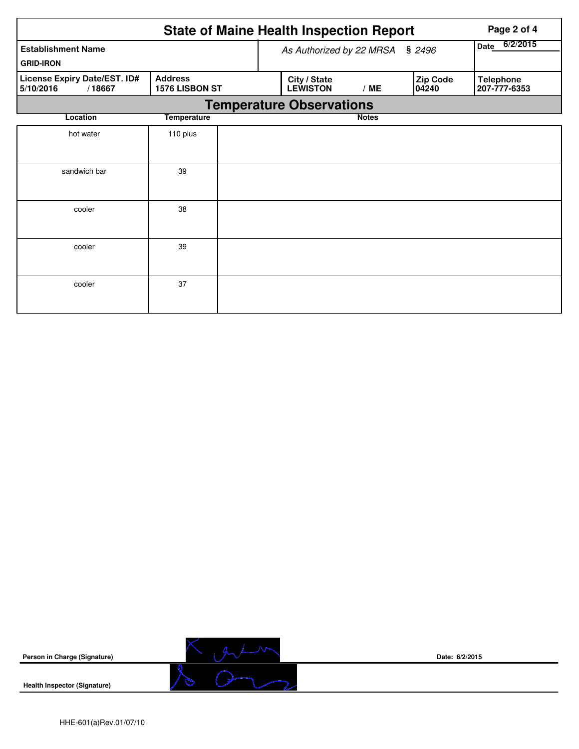|                                                     | Page 2 of 4                      |  |                                 |                  |                   |                                  |  |  |  |  |  |
|-----------------------------------------------------|----------------------------------|--|---------------------------------|------------------|-------------------|----------------------------------|--|--|--|--|--|
| <b>Establishment Name</b>                           |                                  |  | As Authorized by 22 MRSA § 2496 | 6/2/2015<br>Date |                   |                                  |  |  |  |  |  |
| <b>GRID-IRON</b>                                    |                                  |  |                                 |                  |                   |                                  |  |  |  |  |  |
| License Expiry Date/EST. ID#<br>5/10/2016<br>/18667 | <b>Address</b><br>1576 LISBON ST |  | City / State<br><b>LEWISTON</b> | /ME              | Zip Code<br>04240 | <b>Telephone</b><br>207-777-6353 |  |  |  |  |  |
|                                                     | <b>Temperature Observations</b>  |  |                                 |                  |                   |                                  |  |  |  |  |  |
| Location                                            | <b>Temperature</b>               |  |                                 | <b>Notes</b>     |                   |                                  |  |  |  |  |  |
| hot water                                           | 110 plus                         |  |                                 |                  |                   |                                  |  |  |  |  |  |
|                                                     |                                  |  |                                 |                  |                   |                                  |  |  |  |  |  |
| sandwich bar                                        | 39                               |  |                                 |                  |                   |                                  |  |  |  |  |  |
|                                                     |                                  |  |                                 |                  |                   |                                  |  |  |  |  |  |
| cooler                                              | 38                               |  |                                 |                  |                   |                                  |  |  |  |  |  |
|                                                     |                                  |  |                                 |                  |                   |                                  |  |  |  |  |  |
| cooler                                              | 39                               |  |                                 |                  |                   |                                  |  |  |  |  |  |
|                                                     |                                  |  |                                 |                  |                   |                                  |  |  |  |  |  |
| cooler                                              | 37                               |  |                                 |                  |                   |                                  |  |  |  |  |  |
|                                                     |                                  |  |                                 |                  |                   |                                  |  |  |  |  |  |



**Date: 6/2/2015**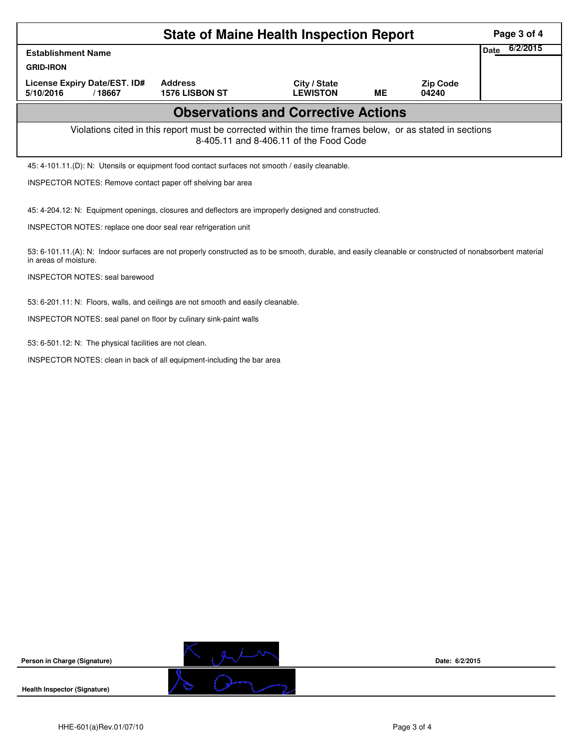|                                                                                                                                                    | Page 3 of 4             |  |  |  |  |  |  |  |
|----------------------------------------------------------------------------------------------------------------------------------------------------|-------------------------|--|--|--|--|--|--|--|
| <b>Establishment Name</b>                                                                                                                          | 6/2/2015<br><b>Date</b> |  |  |  |  |  |  |  |
| <b>GRID-IRON</b>                                                                                                                                   |                         |  |  |  |  |  |  |  |
| License Expiry Date/EST. ID#<br>5/10/2016<br>/18667                                                                                                |                         |  |  |  |  |  |  |  |
| <b>Observations and Corrective Actions</b>                                                                                                         |                         |  |  |  |  |  |  |  |
| Violations cited in this report must be corrected within the time frames below, or as stated in sections<br>8-405.11 and 8-406.11 of the Food Code |                         |  |  |  |  |  |  |  |
| 45: 4-101.11.(D): N: Utensils or equipment food contact surfaces not smooth / easily cleanable.                                                    |                         |  |  |  |  |  |  |  |
| INSPECTOR NOTES: Remove contact paper off shelving bar area                                                                                        |                         |  |  |  |  |  |  |  |
|                                                                                                                                                    |                         |  |  |  |  |  |  |  |

45: 4-204.12: N: Equipment openings, closures and deflectors are improperly designed and constructed.

INSPECTOR NOTES: replace one door seal rear refrigeration unit

53: 6-101.11.(A): N: Indoor surfaces are not properly constructed as to be smooth, durable, and easily cleanable or constructed of nonabsorbent material in areas of moisture.

INSPECTOR NOTES: seal barewood

53: 6-201.11: N: Floors, walls, and ceilings are not smooth and easily cleanable.

INSPECTOR NOTES: seal panel on floor by culinary sink-paint walls

53: 6-501.12: N: The physical facilities are not clean.

INSPECTOR NOTES: clean in back of all equipment-including the bar area



**Date: 6/2/2015**